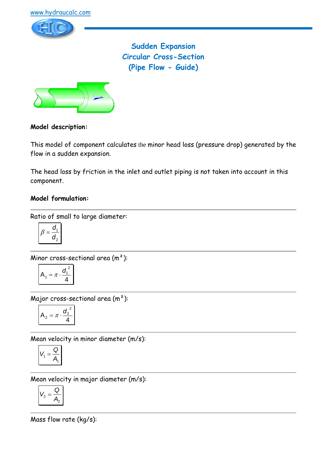

**Sudden Expansion Circular Cross-Section (Pipe Flow - Guide)**



## **Model description:**

This model of component calculates the minor head loss (pressure drop) generated by the flow in a sudden expansion.

The head loss by friction in the inlet and outlet piping is not taken into account in this component.

## **Model formulation:**

Ratio of small to large diameter:

$$
\beta = \frac{d_1}{d_2}
$$

Minor cross-sectional area (m²):

$$
A_1 = \pi \cdot \frac{d_1^2}{4}
$$

Major cross-sectional area (m²):

$$
A_2 = \pi \cdot \frac{d_2^2}{4}
$$

Mean velocity in minor diameter (m/s):

$$
V_1 = \frac{Q}{A_1}
$$

Mean velocity in major diameter (m/s):

$$
V_2 = \frac{Q}{A_2}
$$

Mass flow rate (kg/s):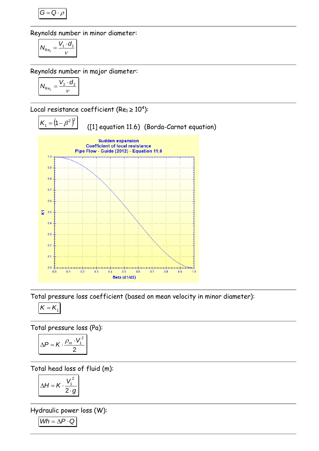$$
G=Q\cdot \rho
$$

Reynolds number in minor diameter:

$$
N_{\text{Re}_1} = \frac{V_1 \cdot d_1}{v}
$$

Reynolds number in major diameter:

$$
N_{\text{Re}_2} = \frac{V_2 \cdot d_2}{v}
$$

Local resistance coefficient (Re $_1$   $\geq$   $10^4$ ):



Total pressure loss coefficient (based on mean velocity in minor diameter):

$$
\boldsymbol{K}=\boldsymbol{K}_{1}
$$

Total pressure loss (Pa):

$$
\Delta P = K \cdot \frac{\rho_m \cdot V_1^2}{2}
$$

Total head loss of fluid (m):

$$
\Delta H = K \cdot \frac{V_1^2}{2 \cdot g}
$$

Hydraulic power loss (W):

$$
Wh = \Delta P \cdot Q
$$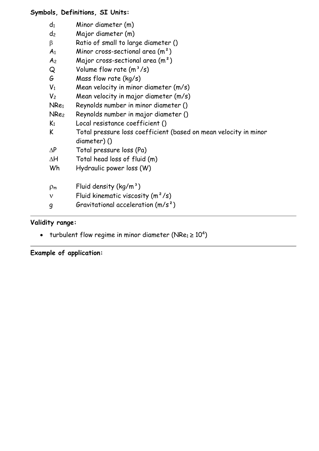# **Symbols, Definitions, SI Units:**

| $d_1$            | Minor diameter (m)                                               |
|------------------|------------------------------------------------------------------|
| d <sub>2</sub>   | Major diameter (m)                                               |
| β                | Ratio of small to large diameter ()                              |
| A <sub>1</sub>   | Minor cross-sectional area $(m2)$                                |
| A <sub>2</sub>   | Major cross-sectional area $(m2)$                                |
| Q                | Volume flow rate $(m^3/s)$                                       |
| G                | Mass flow rate $(kq/s)$                                          |
| $V_1$            | Mean velocity in minor diameter (m/s)                            |
| V <sub>2</sub>   | Mean velocity in major diameter (m/s)                            |
| NRe <sub>1</sub> | Reynolds number in minor diameter ()                             |
| NRe <sub>2</sub> | Reynolds number in major diameter ()                             |
| K <sub>1</sub>   | Local resistance coefficient ()                                  |
| K                | Total pressure loss coefficient (based on mean velocity in minor |
|                  | diameter)()                                                      |
| $\Delta P$       | Total pressure loss (Pa)                                         |
| ΔH               | Total head loss of fluid (m)                                     |
| Wh               | Hydraulic power loss (W)                                         |
|                  |                                                                  |
| $\rho_{m}$       | Fluid density $(kg/m^3)$                                         |
| $\mathbf v$      | Fluid kinematic viscosity $(m^2/s)$                              |
| g                | Gravitational acceleration $(m/s^2)$                             |
|                  |                                                                  |

# **Validity range:**

• turbulent flow regime in minor diameter (NRe1  $\geq 10^4$ )

**Example of application:**